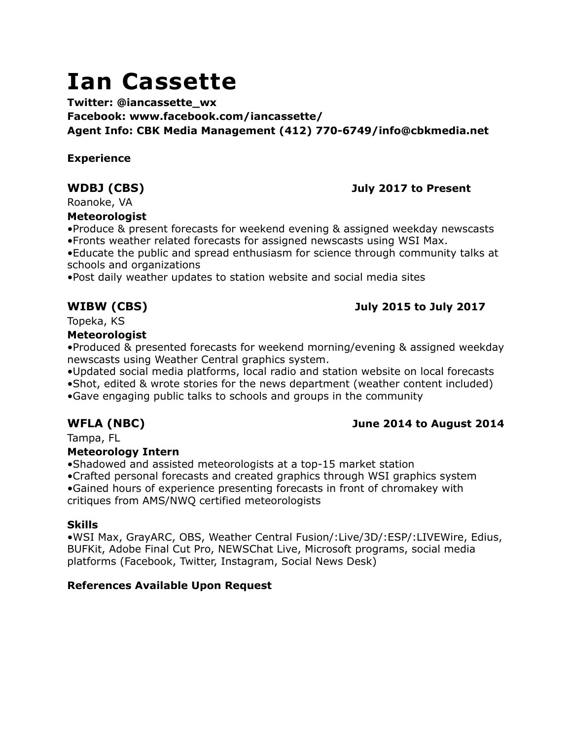# **Ian Cassette**

**Twitter: @iancassette\_wx Facebook: www.facebook.com/iancassette/ Agent Info: CBK Media Management (412) 770-6749/info@cbkmedia.net**

### **Experience**

# **WDBJ (CBS) July 2017 to Present**

Roanoke, VA

### **Meteorologist**

•Produce & present forecasts for weekend evening & assigned weekday newscasts •Fronts weather related forecasts for assigned newscasts using WSI Max.

•Educate the public and spread enthusiasm for science through community talks at schools and organizations

•Post daily weather updates to station website and social media sites

# **WIBW (CBS) July 2015 to July 2017**

Topeka, KS

### **Meteorologist**

•Produced & presented forecasts for weekend morning/evening & assigned weekday newscasts using Weather Central graphics system.

•Updated social media platforms, local radio and station website on local forecasts •Shot, edited & wrote stories for the news department (weather content included) •Gave engaging public talks to schools and groups in the community

# **WFLA (NBC) June 2014 to August 2014**

Tampa, FL

# **Meteorology Intern**

•Shadowed and assisted meteorologists at a top-15 market station

•Crafted personal forecasts and created graphics through WSI graphics system •Gained hours of experience presenting forecasts in front of chromakey with

critiques from AMS/NWQ certified meteorologists

# **Skills**

•WSI Max, GrayARC, OBS, Weather Central Fusion/:Live/3D/:ESP/:LIVEWire, Edius, BUFKit, Adobe Final Cut Pro, NEWSChat Live, Microsoft programs, social media platforms (Facebook, Twitter, Instagram, Social News Desk)

# **References Available Upon Request**